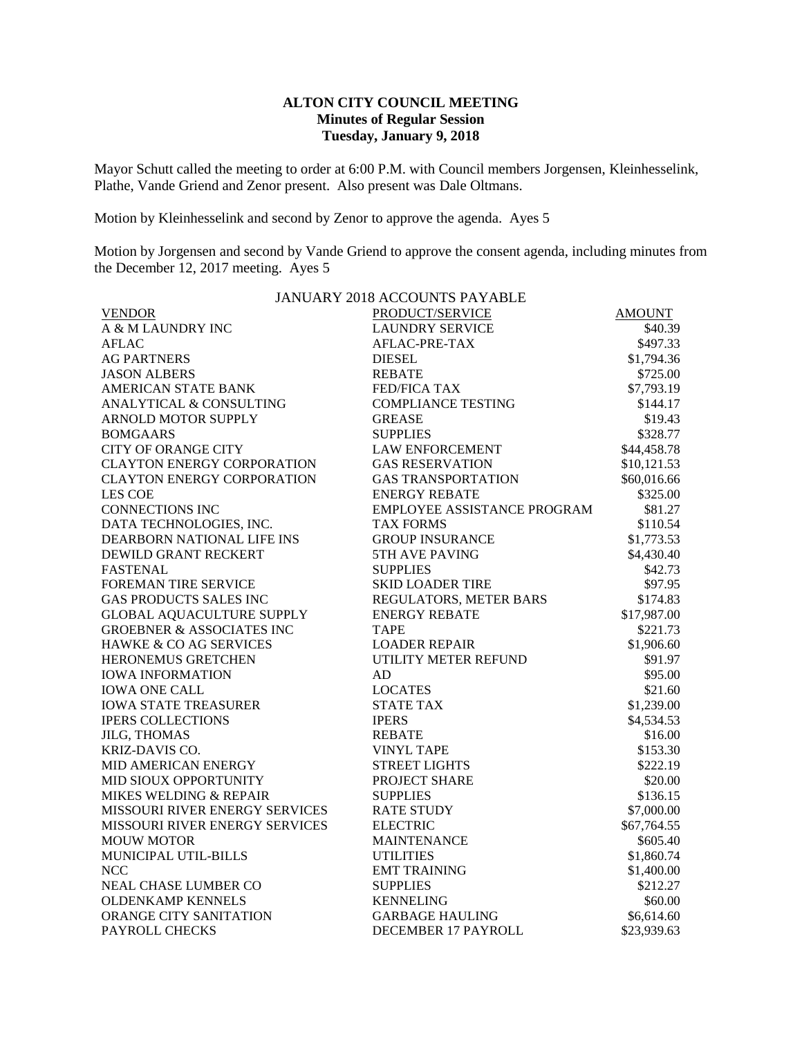## **ALTON CITY COUNCIL MEETING Minutes of Regular Session Tuesday, January 9, 2018**

Mayor Schutt called the meeting to order at 6:00 P.M. with Council members Jorgensen, Kleinhesselink, Plathe, Vande Griend and Zenor present. Also present was Dale Oltmans.

Motion by Kleinhesselink and second by Zenor to approve the agenda. Ayes 5

Motion by Jorgensen and second by Vande Griend to approve the consent agenda, including minutes from the December 12, 2017 meeting. Ayes 5

| JANUARY 2018 ACCOUNTS PAYABLE        |                             |               |  |  |
|--------------------------------------|-----------------------------|---------------|--|--|
| <b>VENDOR</b>                        | PRODUCT/SERVICE             | <b>AMOUNT</b> |  |  |
| A & M LAUNDRY INC                    | <b>LAUNDRY SERVICE</b>      | \$40.39       |  |  |
| <b>AFLAC</b>                         | AFLAC-PRE-TAX               | \$497.33      |  |  |
| <b>AG PARTNERS</b>                   | <b>DIESEL</b>               | \$1,794.36    |  |  |
| <b>JASON ALBERS</b>                  | <b>REBATE</b>               | \$725.00      |  |  |
| <b>AMERICAN STATE BANK</b>           | <b>FED/FICA TAX</b>         | \$7,793.19    |  |  |
| <b>ANALYTICAL &amp; CONSULTING</b>   | <b>COMPLIANCE TESTING</b>   | \$144.17      |  |  |
| ARNOLD MOTOR SUPPLY                  | <b>GREASE</b>               | \$19.43       |  |  |
| <b>BOMGAARS</b>                      | <b>SUPPLIES</b>             | \$328.77      |  |  |
| <b>CITY OF ORANGE CITY</b>           | <b>LAW ENFORCEMENT</b>      | \$44,458.78   |  |  |
| <b>CLAYTON ENERGY CORPORATION</b>    | <b>GAS RESERVATION</b>      | \$10,121.53   |  |  |
| <b>CLAYTON ENERGY CORPORATION</b>    | <b>GAS TRANSPORTATION</b>   | \$60,016.66   |  |  |
| LES COE                              | <b>ENERGY REBATE</b>        | \$325.00      |  |  |
| <b>CONNECTIONS INC</b>               | EMPLOYEE ASSISTANCE PROGRAM | \$81.27       |  |  |
| DATA TECHNOLOGIES, INC.              | <b>TAX FORMS</b>            | \$110.54      |  |  |
| DEARBORN NATIONAL LIFE INS           | <b>GROUP INSURANCE</b>      | \$1,773.53    |  |  |
| DEWILD GRANT RECKERT                 | 5TH AVE PAVING              | \$4,430.40    |  |  |
| <b>FASTENAL</b>                      | <b>SUPPLIES</b>             | \$42.73       |  |  |
| FOREMAN TIRE SERVICE                 | <b>SKID LOADER TIRE</b>     | \$97.95       |  |  |
| <b>GAS PRODUCTS SALES INC</b>        | REGULATORS, METER BARS      | \$174.83      |  |  |
| <b>GLOBAL AQUACULTURE SUPPLY</b>     | <b>ENERGY REBATE</b>        | \$17,987.00   |  |  |
| <b>GROEBNER &amp; ASSOCIATES INC</b> | <b>TAPE</b>                 | \$221.73      |  |  |
| HAWKE & CO AG SERVICES               | <b>LOADER REPAIR</b>        | \$1,906.60    |  |  |
| HERONEMUS GRETCHEN                   | UTILITY METER REFUND        | \$91.97       |  |  |
| <b>IOWA INFORMATION</b>              | AD                          | \$95.00       |  |  |
| <b>IOWA ONE CALL</b>                 | <b>LOCATES</b>              | \$21.60       |  |  |
| <b>IOWA STATE TREASURER</b>          | <b>STATE TAX</b>            | \$1,239.00    |  |  |
| <b>IPERS COLLECTIONS</b>             | <b>IPERS</b>                | \$4,534.53    |  |  |
| <b>JILG, THOMAS</b>                  | <b>REBATE</b>               | \$16.00       |  |  |
| <b>KRIZ-DAVIS CO.</b>                | <b>VINYL TAPE</b>           | \$153.30      |  |  |
| MID AMERICAN ENERGY                  | <b>STREET LIGHTS</b>        | \$222.19      |  |  |
| MID SIOUX OPPORTUNITY                | PROJECT SHARE               | \$20.00       |  |  |
| MIKES WELDING & REPAIR               | <b>SUPPLIES</b>             | \$136.15      |  |  |
| MISSOURI RIVER ENERGY SERVICES       | <b>RATE STUDY</b>           | \$7,000.00    |  |  |
| MISSOURI RIVER ENERGY SERVICES       | <b>ELECTRIC</b>             | \$67,764.55   |  |  |
| <b>MOUW MOTOR</b>                    | <b>MAINTENANCE</b>          | \$605.40      |  |  |
| MUNICIPAL UTIL-BILLS                 | <b>UTILITIES</b>            | \$1,860.74    |  |  |
| <b>NCC</b>                           | <b>EMT TRAINING</b>         | \$1,400.00    |  |  |
| NEAL CHASE LUMBER CO                 | <b>SUPPLIES</b>             | \$212.27      |  |  |
| <b>OLDENKAMP KENNELS</b>             | <b>KENNELING</b>            | \$60.00       |  |  |
| ORANGE CITY SANITATION               | <b>GARBAGE HAULING</b>      | \$6,614.60    |  |  |
| PAYROLL CHECKS                       | DECEMBER 17 PAYROLL         | \$23,939.63   |  |  |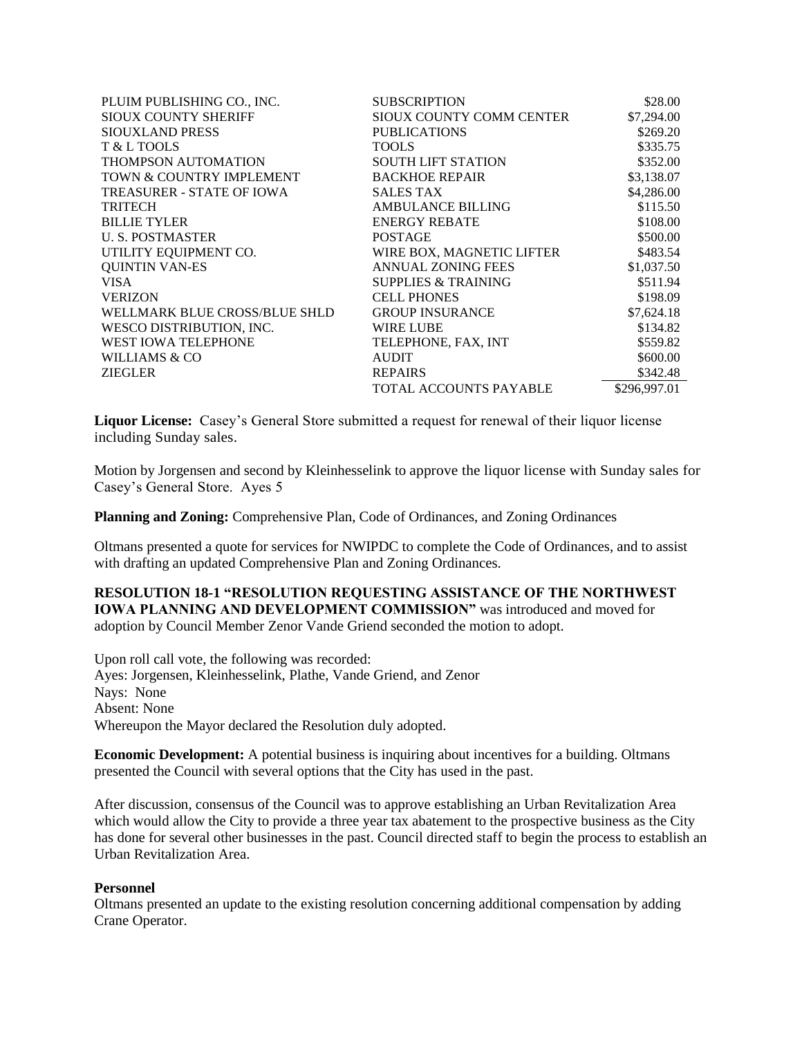| PLUIM PUBLISHING CO., INC.       | <b>SUBSCRIPTION</b>            | \$28.00      |
|----------------------------------|--------------------------------|--------------|
| <b>SIOUX COUNTY SHERIFF</b>      | SIOUX COUNTY COMM CENTER       | \$7,294.00   |
| <b>SIOUXLAND PRESS</b>           | <b>PUBLICATIONS</b>            | \$269.20     |
| T & L TOOLS                      | <b>TOOLS</b>                   | \$335.75     |
| <b>THOMPSON AUTOMATION</b>       | <b>SOUTH LIFT STATION</b>      | \$352.00     |
| TOWN & COUNTRY IMPLEMENT         | <b>BACKHOE REPAIR</b>          | \$3,138.07   |
| <b>TREASURER - STATE OF IOWA</b> | <b>SALES TAX</b>               | \$4,286.00   |
| <b>TRITECH</b>                   | <b>AMBULANCE BILLING</b>       | \$115.50     |
| <b>BILLIE TYLER</b>              | <b>ENERGY REBATE</b>           | \$108.00     |
| <b>U.S. POSTMASTER</b>           | <b>POSTAGE</b>                 | \$500.00     |
| UTILITY EQUIPMENT CO.            | WIRE BOX, MAGNETIC LIFTER      | \$483.54     |
| <b>QUINTIN VAN-ES</b>            | <b>ANNUAL ZONING FEES</b>      | \$1,037.50   |
| VISA.                            | <b>SUPPLIES &amp; TRAINING</b> | \$511.94     |
| <b>VERIZON</b>                   | <b>CELL PHONES</b>             | \$198.09     |
| WELLMARK BLUE CROSS/BLUE SHLD    | <b>GROUP INSURANCE</b>         | \$7,624.18   |
| WESCO DISTRIBUTION, INC.         | <b>WIRE LUBE</b>               | \$134.82     |
| <b>WEST IOWA TELEPHONE</b>       | TELEPHONE, FAX, INT            | \$559.82     |
| WILLIAMS & CO                    | <b>AUDIT</b>                   | \$600.00     |
| <b>ZIEGLER</b>                   | <b>REPAIRS</b>                 | \$342.48     |
|                                  | <b>TOTAL ACCOUNTS PAYABLE</b>  | \$296,997.01 |

**Liquor License:** Casey's General Store submitted a request for renewal of their liquor license including Sunday sales.

Motion by Jorgensen and second by Kleinhesselink to approve the liquor license with Sunday sales for Casey's General Store. Ayes 5

**Planning and Zoning:** Comprehensive Plan, Code of Ordinances, and Zoning Ordinances

Oltmans presented a quote for services for NWIPDC to complete the Code of Ordinances, and to assist with drafting an updated Comprehensive Plan and Zoning Ordinances.

**RESOLUTION 18-1 "RESOLUTION REQUESTING ASSISTANCE OF THE NORTHWEST IOWA PLANNING AND DEVELOPMENT COMMISSION"** was introduced and moved for adoption by Council Member Zenor Vande Griend seconded the motion to adopt.

Upon roll call vote, the following was recorded: Ayes: Jorgensen, Kleinhesselink, Plathe, Vande Griend, and Zenor Nays: None Absent: None Whereupon the Mayor declared the Resolution duly adopted.

**Economic Development:** A potential business is inquiring about incentives for a building. Oltmans presented the Council with several options that the City has used in the past.

After discussion, consensus of the Council was to approve establishing an Urban Revitalization Area which would allow the City to provide a three year tax abatement to the prospective business as the City has done for several other businesses in the past. Council directed staff to begin the process to establish an Urban Revitalization Area.

## **Personnel**

Oltmans presented an update to the existing resolution concerning additional compensation by adding Crane Operator.